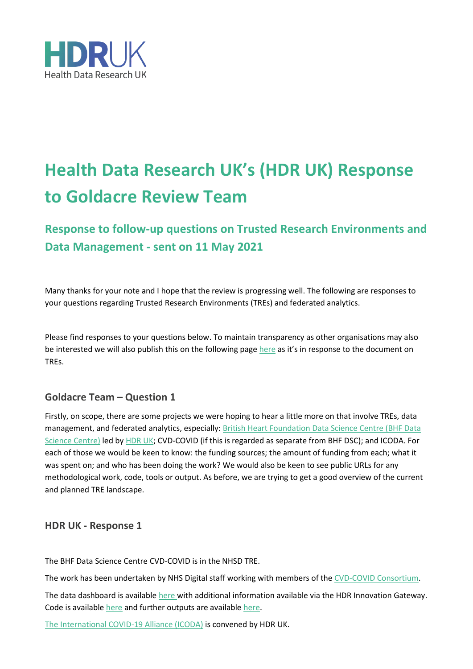

# **Health Data Research UK's (HDR UK) Response to Goldacre Review Team**

**Response to follow-up questions on Trusted Research Environments and Data Management - sent on 11 May 2021**

Many thanks for your note and I hope that the review is progressing well. The following are responses to your questions regarding Trusted Research Environments (TREs) and federated analytics.

Please find responses to your questions below. To maintain transparency as other organisations may also be interested we will also publish this on the following page [here](https://www.hdruk.ac.uk/news/response-to-the-goldacre-review-trusted-research-environments-and-data-management/) as it's in response to the document on TREs.

## **Goldacre Team – Question 1**

Firstly, on scope, there are some projects we were hoping to hear a little more on that involve TREs, data management, and federated analytics, especially: [British Heart Foundation Data Science Centre \(BHF Data](https://www.hdruk.ac.uk/helping-with-health-data/bhf-data-science-centre/)  [Science Centre\)](https://www.hdruk.ac.uk/helping-with-health-data/bhf-data-science-centre/) led by [HDR](https://www.hdruk.ac.uk/) UK; CVD-COVID (if this is regarded as separate from BHF DSC); and ICODA. For each of those we would be keen to know: the funding sources; the amount of funding from each; what it was spent on; and who has been doing the work? We would also be keen to see public URLs for any methodological work, code, tools or output. As before, we are trying to get a good overview of the current and planned TRE landscape.

#### **HDR UK - Response 1**

The BHF Data Science Centre CVD-COVID is in the NHSD TRE. 

The work has been undertaken by NHS Digital staff working with members of the [CVD-COVID Consortium.](https://www.hdruk.ac.uk/wp-content/uploads/2021/04/210423-CVD-COVID-UK-Consortium-Members.pdf)

The data dashboard is available [here](https://www.hdruk.ac.uk/wp-content/uploads/2021/04/210429-CVD-COVID-UK-TRE-Dataset-Provisioning-Dashboard.pdf) with additional information available via the HDR Innovation Gateway. Code is available [here](https://github.com/bhfdsc) and further outputs are availabl[e here.](https://www.hdruk.ac.uk/projects/cvd-covid-uk-project/)

[The International COVID-19 Alliance](https://icoda-research.org/) (ICODA) is convened by HDR UK.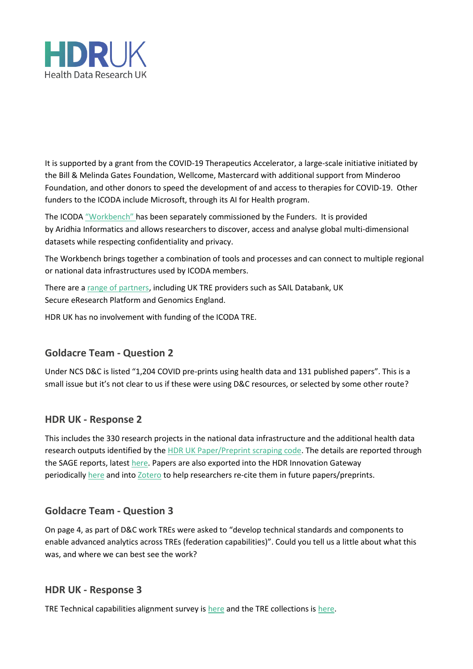

It is supported by a grant from the COVID-19 Therapeutics Accelerator, a large-scale initiative initiated by the Bill & Melinda Gates Foundation, Wellcome, Mastercard with additional support from Minderoo Foundation, and other donors to speed the development of and access to therapies for COVID-19.  Other funders to the ICODA include Microsoft, through its AI for Health program. 

The ICODA ["Workbench"](https://portal.covid-19.aridhia.io/) has been separately commissioned by the Funders.  It is provided by Aridhia Informatics and allows researchers to discover, access and analyse global multi-dimensional datasets while respecting confidentiality and privacy.

The Workbench brings together a combination of tools and processes and can connect to multiple regional or national data infrastructures used by ICODA members. 

There are a [range of partners,](https://icoda-research.org/partners/all-partners/) including UK TRE providers such as SAIL Databank, UK Secure eResearch Platform and Genomics England.

HDR UK has no involvement with funding of the ICODA TRE.

## **Goldacre Team - Question 2**

Under NCS D&C is listed "1,204 COVID pre-prints using health data and 131 published papers". This is a small issue but it's not clear to us if these were using D&C resources, or selected by some other route?

## **HDR UK - Response 2**

This includes the 330 research projects in the national data infrastructure and the additional health data research outputs identified by the [HDR UK Paper/Preprint scraping code.](https://github.com/HDRUK/papers) The details are reported through the SAGE reports, latest [here.](https://www.hdruk.ac.uk/wp-content/uploads/2021/04/2021-04-27-Health-Data-Research-UK-SAGE-report.pdf) Papers are also exported into the HDR Innovation Gateway periodically [here](https://web.www.healthdatagateway.org/search?search=&tab=Papers) and into [Zotero](https://www.zotero.org/groups/2629395/hdruk/library) to help researchers re-cite them in future papers/preprints.

## **Goldacre Team - Question 3**

On page 4, as part of D&C work TREs were asked to "develop technical standards and components to enable advanced analytics across TREs (federation capabilities)". Could you tell us a little about what this was, and where we can best see the work? 

#### **HDR UK - Response 3**

TRE Technical capabilities alignment survey is [here](https://github.com/HDRUK/TRE-Survey) and the TRE collections is [here.](https://www.healthdatagateway.org/collectioncategories/trusted-research-environment)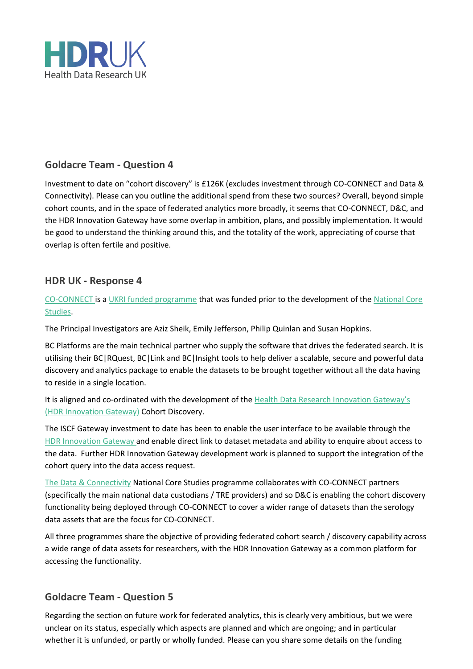

## **Goldacre Team - Question 4**

Investment to date on "cohort discovery" is £126K (excludes investment through CO-CONNECT and Data & Connectivity). Please can you outline the additional spend from these two sources? Overall, beyond simple cohort counts, and in the space of federated analytics more broadly, it seems that CO-CONNECT, D&C, and the HDR Innovation Gateway have some overlap in ambition, plans, and possibly implementation. It would be good to understand the thinking around this, and the totality of the work, appreciating of course that overlap is often fertile and positive.

#### **HDR UK - Response 4**

[CO-CONNECT](https://co-connect.ac.uk/) is [a UKRI funded programme](https://www.ukri.org/news/4-million-data-project-to-accelerate-covid-19-research/) that was funded prior to the development of the [National Core](https://www.hdruk.ac.uk/covid-19/covid-19-national-core-studies/)  [Studies](https://www.hdruk.ac.uk/covid-19/covid-19-national-core-studies/). 

The Principal Investigators are Aziz Sheik, Emily Jefferson, Philip Quinlan and Susan Hopkins. 

BC Platforms are the main technical partner who supply the software that drives the federated search. It is utilising their BC|RQuest, BC|Link and BC|Insight tools to help deliver a scalable, secure and powerful data discovery and analytics package to enable the datasets to be brought together without all the data having to reside in a single location.   

It is aligned and co-ordinated with the development of the [Health Data Research Innovation](https://www.healthdatagateway.org/) Gateway's [\(HDR Innovation Gateway\)](https://www.healthdatagateway.org/) Cohort Discovery.

The ISCF Gateway investment to date has been to enable the user interface to be available through the [HDR Innovation Gateway](https://www.healthdatagateway.org/pages/cohort-discovery-search-tool) and enable direct link to dataset metadata and ability to enquire about access to the data.  Further HDR Innovation Gateway development work is planned to support the integration of the cohort query into the data access request.

[The Data & Connectivity](https://www.hdruk.ac.uk/covid-19-data-and-connectivity/) National Core Studies programme collaborates with CO-CONNECT partners (specifically the main national data custodians / TRE providers) and so D&C is enabling the cohort discovery functionality being deployed through CO-CONNECT to cover a wider range of datasets than the serology data assets that are the focus for CO-CONNECT.

All three programmes share the objective of providing federated cohort search / discovery capability across a wide range of data assets for researchers, with the HDR Innovation Gateway as a common platform for accessing the functionality.

## **Goldacre Team - Question 5**

Regarding the section on future work for federated analytics, this is clearly very ambitious, but we were unclear on its status, especially which aspects are planned and which are ongoing; and in particular whether it is unfunded, or partly or wholly funded. Please can you share some details on the funding